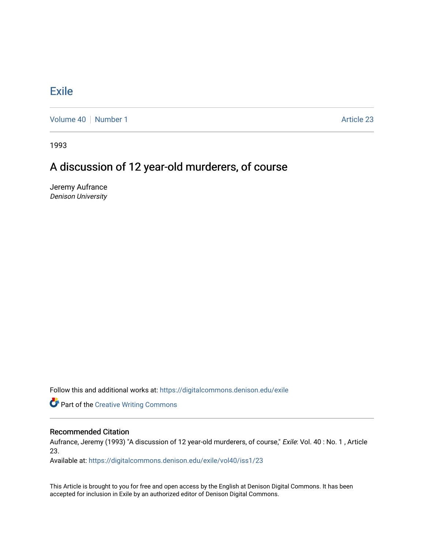## **[Exile](https://digitalcommons.denison.edu/exile)**

[Volume 40](https://digitalcommons.denison.edu/exile/vol40) [Number 1](https://digitalcommons.denison.edu/exile/vol40/iss1) Article 23

1993

## A discussion of 12 year-old murderers, of course

Jeremy Aufrance Denison University

Follow this and additional works at: [https://digitalcommons.denison.edu/exile](https://digitalcommons.denison.edu/exile?utm_source=digitalcommons.denison.edu%2Fexile%2Fvol40%2Fiss1%2F23&utm_medium=PDF&utm_campaign=PDFCoverPages) 

Part of the [Creative Writing Commons](http://network.bepress.com/hgg/discipline/574?utm_source=digitalcommons.denison.edu%2Fexile%2Fvol40%2Fiss1%2F23&utm_medium=PDF&utm_campaign=PDFCoverPages) 

## Recommended Citation

Aufrance, Jeremy (1993) "A discussion of 12 year-old murderers, of course," Exile: Vol. 40 : No. 1, Article 23.

Available at: [https://digitalcommons.denison.edu/exile/vol40/iss1/23](https://digitalcommons.denison.edu/exile/vol40/iss1/23?utm_source=digitalcommons.denison.edu%2Fexile%2Fvol40%2Fiss1%2F23&utm_medium=PDF&utm_campaign=PDFCoverPages)

This Article is brought to you for free and open access by the English at Denison Digital Commons. It has been accepted for inclusion in Exile by an authorized editor of Denison Digital Commons.